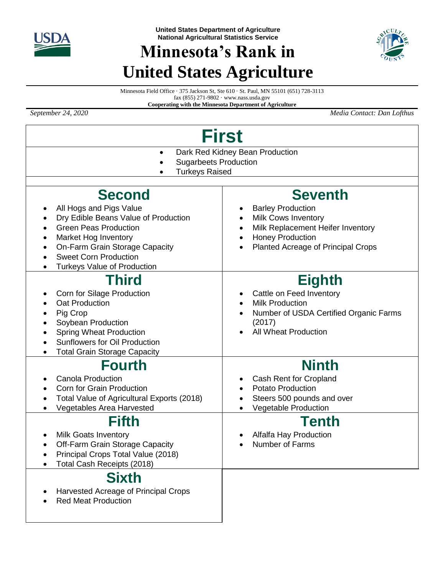

## **Minnesota's Rank in United States Agriculture**



Minnesota Field Office · 375 Jackson St, Ste 610 · St. Paul, MN 55101 (651) 728-3113 fax (855) 271-9802 · www.nass.usda.gov

**Cooperating with the Minnesota Department of Agriculture**

*September 24, 2020 Media Contact: Dan Lofthus*

| <b>First</b>                                                                                                                                                                                                                                                                                          |                                                                                                                                                              |  |  |  |  |  |  |  |
|-------------------------------------------------------------------------------------------------------------------------------------------------------------------------------------------------------------------------------------------------------------------------------------------------------|--------------------------------------------------------------------------------------------------------------------------------------------------------------|--|--|--|--|--|--|--|
| Dark Red Kidney Bean Production<br>$\bullet$<br><b>Sugarbeets Production</b><br><b>Turkeys Raised</b>                                                                                                                                                                                                 |                                                                                                                                                              |  |  |  |  |  |  |  |
| <b>Second</b>                                                                                                                                                                                                                                                                                         | <b>Seventh</b>                                                                                                                                               |  |  |  |  |  |  |  |
| All Hogs and Pigs Value<br>٠<br>Dry Edible Beans Value of Production<br>$\bullet$<br><b>Green Peas Production</b><br>$\bullet$<br>Market Hog Inventory<br>$\bullet$<br>On-Farm Grain Storage Capacity<br>$\bullet$<br><b>Sweet Corn Production</b><br><b>Turkeys Value of Production</b><br>$\bullet$ | <b>Barley Production</b><br><b>Milk Cows Inventory</b><br>Milk Replacement Heifer Inventory<br><b>Honey Production</b><br>Planted Acreage of Principal Crops |  |  |  |  |  |  |  |
| Third<br>Corn for Silage Production<br>٠<br><b>Oat Production</b><br>Pig Crop<br>$\bullet$<br>Soybean Production<br><b>Spring Wheat Production</b><br><b>Sunflowers for Oil Production</b><br><b>Total Grain Storage Capacity</b>                                                                     | <b>Eighth</b><br>Cattle on Feed Inventory<br><b>Milk Production</b><br>Number of USDA Certified Organic Farms<br>(2017)<br><b>All Wheat Production</b>       |  |  |  |  |  |  |  |
| <b>Fourth</b><br><b>Canola Production</b><br>$\bullet$<br>Corn for Grain Production<br>$\bullet$<br>Total Value of Agricultural Exports (2018)<br>$\bullet$<br>Vegetables Area Harvested                                                                                                              | <b>Ninth</b><br>Cash Rent for Cropland<br><b>Potato Production</b><br>Steers 500 pounds and over<br>Vegetable Production                                     |  |  |  |  |  |  |  |
| Fifth<br><b>Milk Goats Inventory</b><br>Off-Farm Grain Storage Capacity<br>Principal Crops Total Value (2018)<br>Total Cash Receipts (2018)                                                                                                                                                           | Tenth<br>Alfalfa Hay Production<br><b>Number of Farms</b>                                                                                                    |  |  |  |  |  |  |  |
| <b>Sixth</b><br>Harvested Acreage of Principal Crops<br><b>Red Meat Production</b>                                                                                                                                                                                                                    |                                                                                                                                                              |  |  |  |  |  |  |  |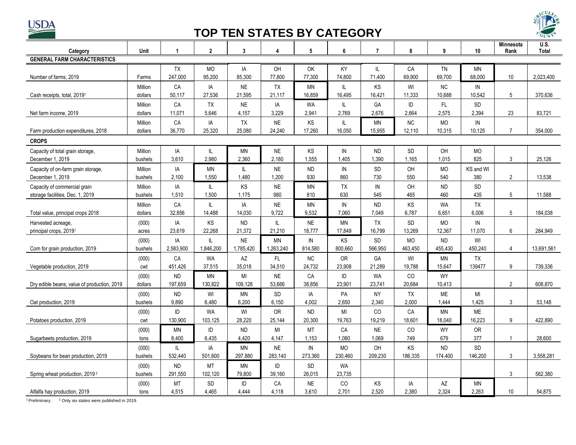

## **TOP TEN STATES BY CATEGORY**



| Category                                    | Unit    | 1         | $\overline{2}$ | 3         | 4         | 5          | 6          | $\overline{7}$ | 8         | 9             | 10            | Minnesota<br>Rank | U.S.<br><b>Total</b> |
|---------------------------------------------|---------|-----------|----------------|-----------|-----------|------------|------------|----------------|-----------|---------------|---------------|-------------------|----------------------|
| <b>GENERAL FARM CHARACTERISTICS</b>         |         |           |                |           |           |            |            |                |           |               |               |                   |                      |
|                                             |         | <b>TX</b> | <b>MO</b>      | IA        | <b>OH</b> | OK         | ΚY         | IL.            | CA        | <b>TN</b>     | <b>MN</b>     |                   |                      |
| Number of farms, 2019                       | Farms   | 247,000   | 95,200         | 85,300    | 77,800    | 77,300     | 74,800     | 71,400         | 69,900    | 69,700        | 68,000        | 10                | 2,023,400            |
|                                             | Million | CA        | IA             | <b>NE</b> | TX        | <b>MN</b>  | IL         | KS             | WI        | NC.           | $\mathsf{IN}$ |                   |                      |
| Cash receipts, total, 2019 <sup>1</sup>     | dollars | 50.117    | 27,536         | 21,595    | 21.117    | 16,859     | 16,495     | 16,421         | 11,333    | 10,688        | 10,542        | 5                 | 370.636              |
|                                             | Million | CA        | TX             | $\sf NE$  | IA        | <b>WA</b>  | IL.        | <b>GA</b>      | ID        | $\mathsf{FL}$ | <b>SD</b>     |                   |                      |
| Net farm income, 2019                       | dollars | 11,071    | 5.646          | 4,157     | 3.229     | 2,941      | 2,769      | 2,676          | 2.664     | 2,575         | 2,394         | 23                | 83,721               |
|                                             | Million | CA        | IA             | <b>TX</b> | <b>NE</b> | KS         | IL         | ΜN             | NC        | MO            | ${\sf IN}$    |                   |                      |
| Farm production expenditures, 2018          | dollars | 36,770    | 25,320         | 25,080    | 24,240    | 17,260     | 16,050     | 15,955         | 12,110    | 10,315        | 10,125        | $\overline{7}$    | 354,000              |
| <b>CROPS</b>                                |         |           |                |           |           |            |            |                |           |               |               |                   |                      |
| Capacity of total grain storage,            | Million | IA        | IL             | <b>MN</b> | <b>NE</b> | KS         | IN         | <b>ND</b>      | <b>SD</b> | OH            | <b>MO</b>     |                   |                      |
| December 1, 2019                            | bushels | 3.610     | 2,980          | 2,360     | 2,180     | 1,555      | 1.405      | 1,390          | 1.165     | 1.015         | 825           | 3                 | 25,126               |
| Capacity of on-farm grain storage,          | Million | IA        | <b>MN</b>      | L         | <b>NE</b> | <b>ND</b>  | ${\sf IN}$ | SD             | OH        | <b>MO</b>     | KS and WI     |                   |                      |
| December 1, 2019                            | bushels | 2.100     | 1,550          | 1,480     | 1.200     | 930        | 860        | 730            | 550       | 540           | 380           | 2                 | 13,538               |
| Capacity of commercial grain                | Million | IA        | IL             | KS        | <b>NE</b> | <b>MN</b>  | TX         | IN             | OH        | <b>ND</b>     | <b>SD</b>     |                   |                      |
| storage facilities, Dec. 1, 2019            | bushels | 1,510     | 1,500          | 1,175     | 980       | 810        | 630        | 545            | 465       | 460           | 435           | 5                 | 11,588               |
|                                             | Million | CA        | IL             | IA        | <b>NE</b> | <b>MN</b>  | ${\sf IN}$ | <b>ND</b>      | KS        | <b>WA</b>     | <b>TX</b>     |                   |                      |
| Total value, principal crops 2018           | dollars | 32.856    | 14.488         | 14,030    | 9.722     | 9,532      | 7,060      | 7,049          | 6.787     | 6,651         | 6,006         | 5                 | 184,038              |
| Harvested acreage,                          | (000)   | IA        | KS             | <b>ND</b> | IL.       | <b>NE</b>  | <b>MN</b>  | <b>TX</b>      | <b>SD</b> | <b>MO</b>     | IN            |                   |                      |
| principal crops, 2019 <sup>1</sup>          | acres   | 23,619    | 22,268         | 21,372    | 21,210    | 18,777     | 17,849     | 16,799         | 13,269    | 12,367        | 11,070        | 6                 | 284,949              |
|                                             | (000)   | IA        | IL             | <b>NE</b> | <b>MN</b> | IN         | ΚS         | <b>SD</b>      | <b>MO</b> | <b>ND</b>     | WI            |                   |                      |
| Com for grain production, 2019              | bushels | 2,583,900 | 1,846,200      | 1,785,420 | 1,263,240 | 814,580    | 800,660    | 566,950        | 463,450   | 455,430       | 450,240       | $\overline{4}$    | 13,691,561           |
|                                             | (000)   | CA        | <b>WA</b>      | AZ        | FL.       | <b>NC</b>  | <b>OR</b>  | GA             | WI        | <b>MN</b>     | TX            |                   |                      |
| Vegetable production, 2019                  | cwt     | 451,426   | 37,515         | 35,018    | 34,510    | 24,732     | 23,908     | 21,289         | 19,788    | 15,647        | 139477        | 9                 | 739,336              |
|                                             | (000)   | <b>ND</b> | <b>MN</b>      | MI        | <b>NE</b> | CA         | ID         | <b>WA</b>      | <b>CO</b> | <b>WY</b>     |               |                   |                      |
| Dry edible beans, value of production, 2019 | dollars | 197,659   | 130,822        | 109,128   | 53,666    | 38,856     | 23,901     | 23,741         | 20,684    | 10,413        |               | 2                 | 608,870              |
|                                             | (000)   | <b>ND</b> | WI             | MN        | <b>SD</b> | IA         | PA         | <b>NY</b>      | <b>TX</b> | ME            | MI            |                   |                      |
| Oat production, 2019                        | bushels | 9.890     | 6.480          | 6,200     | 6,150     | 4,002      | 2.650      | 2,340          | 2.000     | 1,444         | 1,425         | 3                 | 53,148               |
|                                             | (000)   | ID        | <b>WA</b>      | WI        | <b>OR</b> | <b>ND</b>  | MI         | C <sub>O</sub> | CA        | <b>MN</b>     | <b>ME</b>     |                   |                      |
| Potatoes production, 2019                   | cwt     | 130,900   | 103,125        | 28.220    | 25,144    | 20.300     | 19,763     | 19.219         | 18,601    | 18,040        | 16.223        | 9                 | 422.890              |
|                                             | (000)   | ΜN        | ID             | <b>ND</b> | MI        | <b>MT</b>  | CA         | <b>NE</b>      | CO        | WY            | OR            |                   |                      |
| Sugarbeets production, 2019                 | tons    | 8,400     | 6,435          | 4,420     | 4,147     | 1,153      | 1,080      | 1.069          | 749       | 679           | 377           |                   | 28,600               |
|                                             | (000)   | IL.       | IA             | <b>MN</b> | <b>NE</b> | ${\sf IN}$ | MO         | OH             | KS        | <b>ND</b>     | <b>SD</b>     |                   |                      |
| Soybeans for bean production, 2019          | bushels | 532.440   | 501.600        | 297,880   | 283.140   | 273,360    | 230,460    | 209,230        | 186,335   | 174.400       | 146.200       | 3                 | 3,558,281            |
|                                             | (000)   | ND        | MT             | <b>MN</b> | ID        | SD         | WA         |                |           |               |               |                   |                      |
| Spring wheat production, 2019 <sup>2</sup>  | bushels | 291,550   | 102,120        | 79,800    | 39,160    | 26,015     | 23,735     |                |           |               |               | 3                 | 562,380              |
|                                             | (000)   | <b>MT</b> | SD             | ID        | CA        | <b>NE</b>  | CO         | KS             | IA        | AZ            | ΜN            |                   |                      |
| Alfalfa hay production, 2019                | tons    | 4,515     | 4,465          | 4.444     | 4,118     | 3,610      | 2.701      | 2,520          | 2,380     | 2,324         | 2.263         | 10                | 54,875               |

<sup>1</sup> Preliminary.  $^2$  Only six states were published in 2019.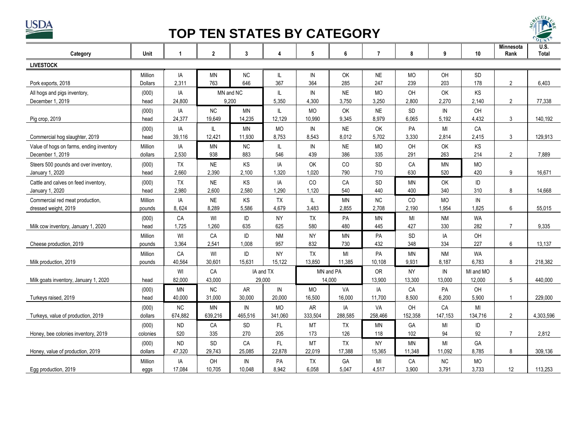

## **TOP TEN STATES BY CATEGORY**



| Category                                 | Unit           | 1         | $\overline{2}$ | $\mathbf{3}$ | 4         | 5             | 6         | $\overline{7}$ | 8         | 9         | 10         | Minnesota<br>Rank | <b>U.S.</b><br><b>Total</b> |
|------------------------------------------|----------------|-----------|----------------|--------------|-----------|---------------|-----------|----------------|-----------|-----------|------------|-------------------|-----------------------------|
| <b>LIVESTOCK</b>                         |                |           |                |              |           |               |           |                |           |           |            |                   |                             |
|                                          | Million        | IA        | <b>MN</b>      | <b>NC</b>    | IL.       | IN            | OK        | <b>NE</b>      | <b>MO</b> | OH        | <b>SD</b>  |                   |                             |
| Pork exports, 2018                       | <b>Dollars</b> | 2,311     | 763            | 646          | 367       | 364           | 285       | 247            | 239       | 203       | 178        | $\overline{2}$    | 6.403                       |
| All hogs and pigs inventory,             | (000)          | IA        |                | MN and NC    | IL.       | IN            | <b>NE</b> | <b>MO</b>      | OH        | OK        | <b>KS</b>  |                   |                             |
| December 1, 2019                         | head           | 24,800    | 9,200          |              | 5,350     | 4,300         | 3,750     | 3,250          | 2,800     | 2,270     | 2,140      | $\overline{c}$    | 77,338                      |
|                                          | (000)          | IA        | <b>NC</b>      | <b>MN</b>    | IL.       | <b>MO</b>     | OK        | <b>NE</b>      | <b>SD</b> | IN        | OH         |                   |                             |
| Pig crop, 2019                           | head           | 24,377    | 19,649         | 14,235       | 12,129    | 10,990        | 9,345     | 8,979          | 6,065     | 5,192     | 4,432      | 3                 | 140,192                     |
|                                          | (000)          | IA        | IL             | <b>MN</b>    | <b>MO</b> | IN            | <b>NE</b> | <b>OK</b>      | PA        | MI        | CA         |                   |                             |
| Commercial hog slaughter, 2019           | head           | 39,116    | 12,421         | 11,930       | 8,753     | 8,543         | 8,012     | 5,702          | 3,330     | 2,814     | 2,415      | 3                 | 129,913                     |
| Value of hogs on farms, ending inventory | Million        | IA        | <b>MN</b>      | NC           | IL.       | $\mathsf{IN}$ | <b>NE</b> | <b>MO</b>      | OH        | OK        | KS         |                   |                             |
| December 1, 2019                         | dollars        | 2,530     | 938            | 883          | 546       | 439           | 386       | 335            | 291       | 263       | 214        | $\overline{2}$    | 7,889                       |
| Steers 500 pounds and over inventory,    | (000)          | <b>TX</b> | <b>NE</b>      | KS           | IA        | OK            | CO        | <b>SD</b>      | CA        | <b>MN</b> | <b>MO</b>  |                   |                             |
| January 1, 2020                          | head           | 2.660     | 2,390          | 2,100        | 1,320     | 1,020         | 790       | 710            | 630       | 520       | 420        | 9                 | 16,671                      |
| Cattle and calves on feed inventory,     | (000)          | <b>TX</b> | <b>NE</b>      | KS           | IA        | CO            | CA        | <b>SD</b>      | <b>MN</b> | OK        | ID         |                   |                             |
| January 1, 2020                          | head           | 2.980     | 2,600          | 2,580        | 1.290     | 1,120         | 540       | 440            | 400       | 340       | 310        | 8                 | 14.668                      |
| Commercial red meat production,          | Million        | IA        | <b>NE</b>      | <b>KS</b>    | <b>TX</b> | IL            | ΜN        | <b>NC</b>      | CO        | <b>MO</b> | ${\sf IN}$ |                   |                             |
| dressed weight, 2019                     | pounds         | 8,624     | 8,289          | 5,586        | 4,679     | 3,483         | 2,855     | 2,708          | 2,190     | 1,954     | 1,825      | 6                 | 55,015                      |
|                                          | (000)          | CA        | WI             | ID           | <b>NY</b> | <b>TX</b>     | PA        | <b>MN</b>      | MI        | <b>NM</b> | <b>WA</b>  |                   |                             |
| Milk cow inventory, January 1, 2020      | head           | 1,725     | 1,260          | 635          | 625       | 580           | 480       | 445            | 427       | 330       | 282        | $\overline{7}$    | 9,335                       |
|                                          | Million        | WI        | CA             | ID           | <b>NM</b> | <b>NY</b>     | <b>MN</b> | PA             | SD        | IA        | OH         |                   |                             |
| Cheese production, 2019                  | pounds         | 3,364     | 2,541          | 1,008        | 957       | 832           | 730       | 432            | 348       | 334       | 227        | 6                 | 13,137                      |
|                                          | Million        | CA        | WI             | ID           | <b>NY</b> | TX            | MI        | PA             | <b>MN</b> | <b>NM</b> | <b>WA</b>  |                   |                             |
| Milk production, 2019                    | pounds         | 40,564    | 30,601         | 15,631       | 15,122    | 13,850        | 11,385    | 10,108         | 9,931     | 8,187     | 6,783      | 8                 | 218,382                     |
|                                          |                | WI        | CA             | IA and TX    |           | MN and PA     |           | <b>OR</b>      | <b>NY</b> | IN        | MI and MO  |                   |                             |
| Milk goats inventory, January 1, 2020    | head           | 82,000    | 43,000         | 29,000       |           | 14,000        |           | 13,900         | 13,300    | 13,000    | 12,000     | 5                 | 440,000                     |
|                                          | (000)          | <b>MN</b> | NC             | <b>AR</b>    | IN        | <b>MO</b>     | VA        | IA             | CA        | PA        | OH         |                   |                             |
| Turkeys raised, 2019                     | head           | 40,000    | 31,000         | 30,000       | 20,000    | 16,500        | 16,000    | 11,700         | 8,500     | 6,200     | 5,900      | $\overline{1}$    | 229,000                     |
|                                          | (000)          | <b>NC</b> | <b>MN</b>      | IN           | <b>MO</b> | AR            | IA        | VA             | OH        | CA        | MI         |                   |                             |
| Turkeys, value of production, 2019       | dollars        | 674,882   | 639,216        | 465,516      | 341,060   | 333,504       | 288,585   | 258,466        | 152,358   | 147,153   | 134,716    | $\overline{2}$    | 4,303,596                   |
|                                          | (000)          | <b>ND</b> | CA             | SD           | FL.       | MT            | TX        | <b>MN</b>      | GA        | MI        | ID         |                   |                             |
| Honey, bee colonies inventory, 2019      | colonies       | 520       | 335            | 270          | 205       | 173           | 126       | 118            | 102       | 94        | 92         | $\overline{7}$    | 2,812                       |
|                                          | (000)          | <b>ND</b> | SD             | CA           | FL.       | MT            | <b>TX</b> | <b>NY</b>      | MN        | MI        | GA         |                   |                             |
| Honey, value of production, 2019         | dollars        | 47,320    | 29,743         | 25,085       | 22,878    | 22,019        | 17,388    | 15,365         | 11,348    | 11,092    | 8,785      | 8                 | 309,136                     |
|                                          | Million        | IA        | OH             | IN           | PA        | TX            | GA        | MI             | CA        | <b>NC</b> | <b>MO</b>  |                   |                             |
| Egg production, 2019                     | eggs           | 17,084    | 10.705         | 10.048       | 8.942     | 6,058         | 5.047     | 4.517          | 3,900     | 3.791     | 3,733      | 12                | 113,253                     |